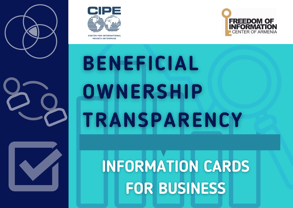



CENTER COR INTERNATIONAL **PRIVATE ENTERPRISE** 



# **BENEFICIAL** OWNERSHIP **TRANSPARENCY**

**INFORMATION CARDS FOR BUSINESS**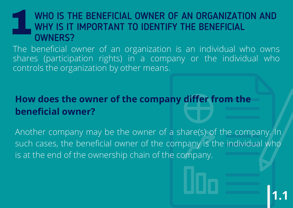#### WHO IS THE BENEFICIAL OWNER OF AN ORGANIZATION AND WHY IS IT IMPORTANT TO IDENTIFY THE BENEFICIAL OWNERS? 1

The beneficial owner of an organization is an individual who owns shares (participation rights) in a company or the individual who controls the organization by other means.

### **How does the owner of the company differ from the beneficial owner?**

Another company may be the owner of a share(s) of the company. In such cases, the beneficial owner of the company is the individual who is at the end of the ownership chain of the company.

**1.1**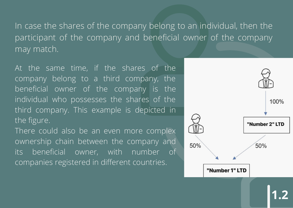In case the shares of the company belong to an individual, then the participant of the company and beneficial owner of the company may match.

At the same time, if the shares of the company belong to a third company, the beneficial owner of the company is the individual who possesses the shares of the third company. This example is depicted in the figure.

There could also be an even more complex ownership chain between the company and its beneficial owner, with number of companies registered in different countries.



**1.2**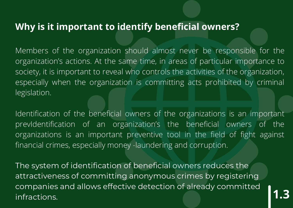#### **Why is it important to identify beneficial owners?**

Members of the organization should almost never be responsible for the organization's actions. At the same time, in areas of particular importance to society, it is important to reveal who controls the activities of the organization, especially when the organization is committing acts prohibited by criminal legislation.

Identification of the beneficial owners of the organizations is an important prevIdentification of an organization's the beneficial owners of the organizations is an important preventive tool in the field of fight against financial crimes, especially money -laundering and corruption.

The system of identification of beneficial owners reduces the attractiveness of committing anonymous crimes by registering companies and allows effective detection of already committed infractions. **1.3**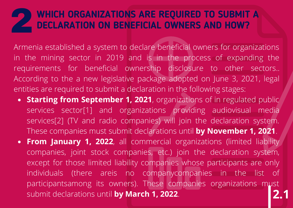# **WHICH ORGANIZATIONS ARE REQUIRED TO SUBMIT <sup>A</sup>** 2**DECLARATION ON BENEFICIAL OWNERS AND HOW?**

Armenia established a system to declare beneficial owners for organizations in the mining sector in 2019 and is in the process of expanding the requirements for beneficial ownership disclosure to other sectors.. According to the a new legislative package adopted on June 3, 2021, legal entities are required to submit a declaration in the following stages:

- **Starting from September 1, 2021**, organizations of in regulated public services sector<sup>[1]</sup> and organizations providing audiovisual media services[2] (TV and radio companies) will join the declaration system. These companies must submit declarations until **by November 1, 2021**.
- **2.1 From January 1, 2022**, all commercial organizations (limited liability companies, joint stock companies, etc.) join the declaration system, except for those limited liability companies whose participants are only individuals (there areis no companycompanies in the list of participantsamong its owners). These companies organizations must submit declarations until **by March 1, 2022**.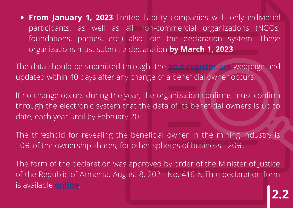**From January 1, 2023** limited liability companies with only individual participants, as well as all non-commercial organizations (NGOs, foundations, parties, etc.) also join the declaration system. These organizations must submit a declaration **by March 1, 2023**.

The data should be submitted through the **[bo.e-register.am](http://bo.e-register.am/)** webpage and updated within 40 days after any change of a beneficial owner occurs.

If no change occurs during the year, the organization confirms must confirm through the electronic system that the data of its beneficial owners is up to date, each year until by February 20.

The threshold for revealing the beneficial owner in the mining industry is 10% of the ownership shares, for other spheres of business - 20%.

The form of the declaration was approved by order of the Minister of Justice of the Republic of Armenia. August 8, 2021 No. 416-N.Th e declaration form is available **[online](http://www.arlis.am/DocumentView.aspx?DocID=155465)**.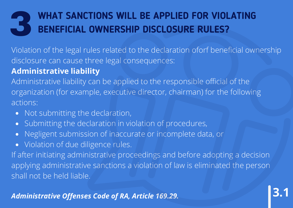### 3 **WHAT SANCTIONS WILL BE APPLIED FOR VIOLATING BENEFICIAL OWNERSHIP DISCLOSURE RULES?**

Violation of the legal rules related to the declaration oforf beneficial ownership disclosure can cause three legal consequences:

#### **Administrative liability**

Administrative liability can be applied to the responsible official of the organization (for example, executive director, chairman) for the following actions:

- Not submitting the declaration,
- Submitting the declaration in violation of procedures,
- Negligent submission of inaccurate or incomplete data, or
- Violation of due diligence rules.

If after initiating administrative proceedings and before adopting a decision applying administrative sanctions a violation of law is eliminated the person shall not be held liable.

**3.1**

*Administrative Offenses Code of RA, Article 169.29.*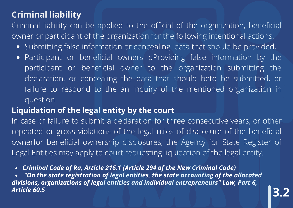#### **Criminal liability**

Criminal liability can be applied to the official of the organization, beneficial owner or participant of the organization for the following intentional actions:

- Submitting false information or concealing data that should be provided,
- Participant or beneficial owners pProviding false information by the  $\bullet$ participant or beneficial owner to the organization submitting the declaration, or concealing the data that should beto be submitted, or failure to respond to the an inquiry of the mentioned organization in question .

#### **Liquidation of the legal entity by the court**

In case of failure to submit a declaration for three consecutive years, or other repeated or gross violations of the legal rules of disclosure of the beneficial ownerfor beneficial ownership disclosures, the Agency for State Register of Legal Entities may apply to court requesting liquidation of the legal entity.

*Criminal Code of Ra, Article 216.1 (Article 294 of the New Criminal Code)*

*"On the state registration of legal entities, the state accounting of the allocated divisions, organizations of legal entities and individual entrepreneurs" Law, Part 6, Article 60.5* **3.2**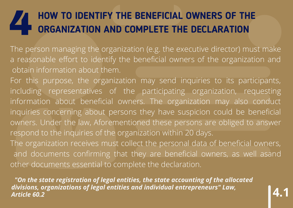# **HOW TO IDENTIFY THE BENEFICIAL OWNERS OF THE ORGANIZATION AND COMPLETE THE DECLARATION ORGANIZATION AND COMPLETE THE DECLARATION**

The person managing the organization (e.g. the executive director) must make a reasonable effort to identify the beneficial owners of the organization and obtain information about them.

For this purpose, the organization may send inquiries to its participants, including representatives of the participating organization, requesting information about beneficial owners. The organization may also conduct inquiries concerning about persons they have suspicion could be beneficial owners. Under the law, Aforementioned these persons are obliged to answer respond to the inquiries of the organization within 20 days.

The organization receives must collect the personal data of beneficial owners, and documents confirming that they are beneficial owners, as well asand other documents essential to complete the declaration.

 *"On the state registration of legal entities, the state accounting of the allocated divisions, organizations of legal entities and individual entrepreneurs" Law, Article 60.2*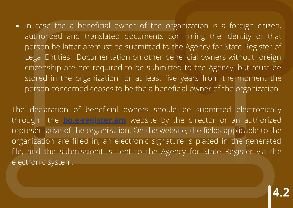• In case the a beneficial owner of the organization is a foreign citizen, authorized and translated documents confirming the identity of that person he latter aremust be submitted to the Agency for State Register of Legal Entities. Documentation on other beneficial owners without foreign citizenship are not required to be submitted to the Agency, but must be stored in the organization for at least five years from the moment the person concerned ceases to be the a beneficial owner of the organization.

The declaration of beneficial owners should be submitted electronically through the **[bo.e-register.am](http://bo.e-register.am/)** website by the director or an authorized representative of the organization. On the website, the fields applicable to the organization are filled in, an electronic signature is placed in the generated file, and the submissionit is sent to the Agency for State Register via the electronic system.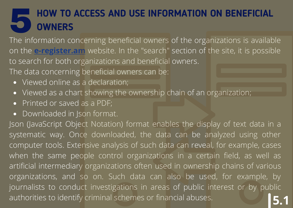## **Formation The information concerning beneficial owners of the organizations is available**<br>The information concerning beneficial owners of the organizations is available **HOW TO ACCESS AND USE INFORMATION ON BENEFICIAL OWNERS**

on the **[e-register.am](http://e-register.am/)** website. In the "search" section of the site, it is possible to search for both organizations and beneficial owners.

The data concerning beneficial owners can be:

- Viewed online as a declaration:
- Viewed as a chart showing the ownership chain of an organization;
- Printed or saved as a PDF;  $\bullet$
- Downloaded in Json format.

Json (JavaScript Object Notation) format enables the display of text data in a systematic way. Once downloaded, the data can be analyzed using other computer tools. Extensive analysis of such data can reveal, for example, cases when the same people control organizations in a certain field, as well as artificial intermediary organizations often used in ownership chains of various organizations, and so on. Such data can also be used, for example, by journalists to conduct investigations in areas of public interest or by public authorities to identify criminal schemes or financial abuses. **5.1**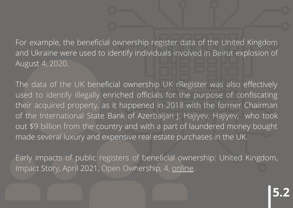For example, the beneficial ownership register data of the United Kingdom and Ukraine were used to identify individuals involved in Beirut explosion of August 4, 2020.

The data of the UK beneficial ownership UK rRegister was also effectively used to identify illegally enriched officials for the purpose of confiscating their acquired property, as it happened in 2018 with the former Chairman of the International State Bank of Azerbaijan J. Hajiyev. Hajiyev, who took out \$9 billion from the country and with a part of laundered money bought made several luxury and expensive real estate purchases in the UK.

Early impacts of public registers of beneficial ownership: United Kingdom, Impact Story, April 2021, Open Ownership, 4, [online.](https://www.openownership.org/uploads/OO%20Impact%20Story%20UK.pdf)